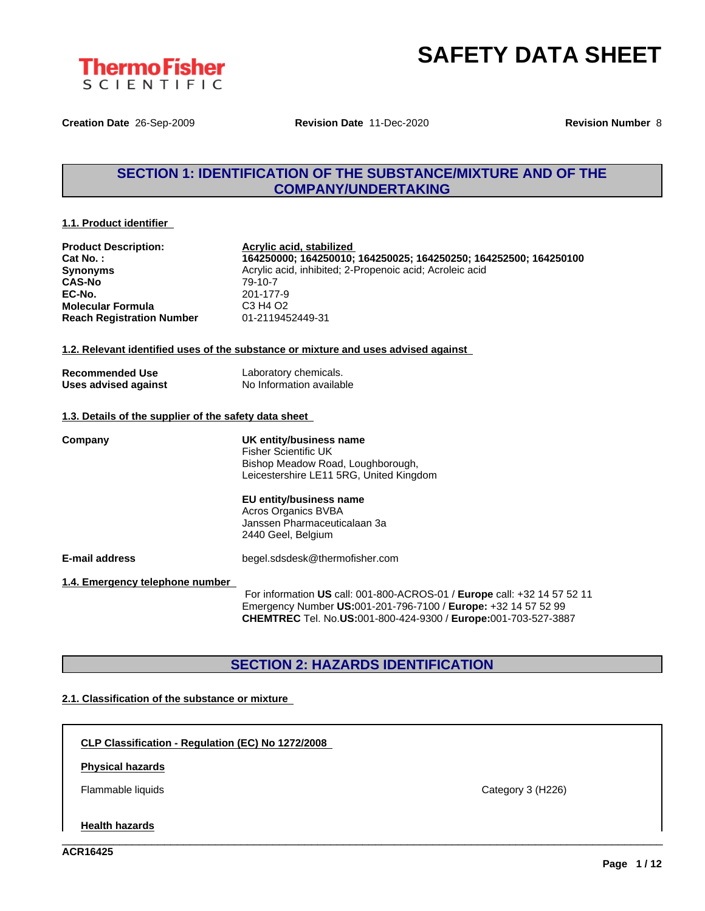

**Creation Date** 26-Sep-2009 **Revision Date** 11-Dec-2020 **Revision Number** 8

## **SECTION 1: IDENTIFICATION OF THE SUBSTANCE/MIXTURE AND OF THE COMPANY/UNDERTAKING**

## **1.1. Product identifier**

| <b>Product Description:</b><br>Cat No.:<br><b>Synonyms</b><br><b>CAS-No</b><br>EC-No.<br><b>Molecular Formula</b><br><b>Reach Registration Number</b> | Acrylic acid, stabilized<br>164250000; 164250010; 164250025; 164250250; 164252500; 164250100<br>Acrylic acid, inhibited; 2-Propenoic acid; Acroleic acid<br>79-10-7<br>201-177-9<br>C <sub>3</sub> H <sub>4</sub> O <sub>2</sub><br>01-2119452449-31 |
|-------------------------------------------------------------------------------------------------------------------------------------------------------|------------------------------------------------------------------------------------------------------------------------------------------------------------------------------------------------------------------------------------------------------|
|                                                                                                                                                       | 1.2. Relevant identified uses of the substance or mixture and uses advised against                                                                                                                                                                   |
| <b>Recommended Use</b><br>Uses advised against                                                                                                        | Laboratory chemicals.<br>No Information available                                                                                                                                                                                                    |
| 1.3. Details of the supplier of the safety data sheet                                                                                                 |                                                                                                                                                                                                                                                      |
| Company                                                                                                                                               | UK entity/business name<br><b>Fisher Scientific UK</b><br>Bishop Meadow Road, Loughborough,<br>Leicestershire LE11 5RG, United Kingdom<br>EU entity/business name<br>Acros Organics BVBA<br>Janssen Pharmaceuticalaan 3a<br>2440 Geel, Belgium       |
| E-mail address                                                                                                                                        | begel.sdsdesk@thermofisher.com                                                                                                                                                                                                                       |
| 1.4. Emergency telephone number                                                                                                                       | For information US call: 001-800-ACROS-01 / Europe call: +32 14 57 52 11<br>Emergency Number US:001-201-796-7100 / Europe: +32 14 57 52 99<br>CHEMTREC Tel. No.US:001-800-424-9300 / Europe:001-703-527-3887                                         |

## **SECTION 2: HAZARDS IDENTIFICATION**

\_\_\_\_\_\_\_\_\_\_\_\_\_\_\_\_\_\_\_\_\_\_\_\_\_\_\_\_\_\_\_\_\_\_\_\_\_\_\_\_\_\_\_\_\_\_\_\_\_\_\_\_\_\_\_\_\_\_\_\_\_\_\_\_\_\_\_\_\_\_\_\_\_\_\_\_\_\_\_\_\_\_\_\_\_\_\_\_\_\_\_\_\_\_

## **2.1. Classification of the substance or mixture**

**CLP Classification - Regulation (EC) No 1272/2008**

## **Physical hazards**

Flammable liquids Category 3 (H226)

## **Health hazards**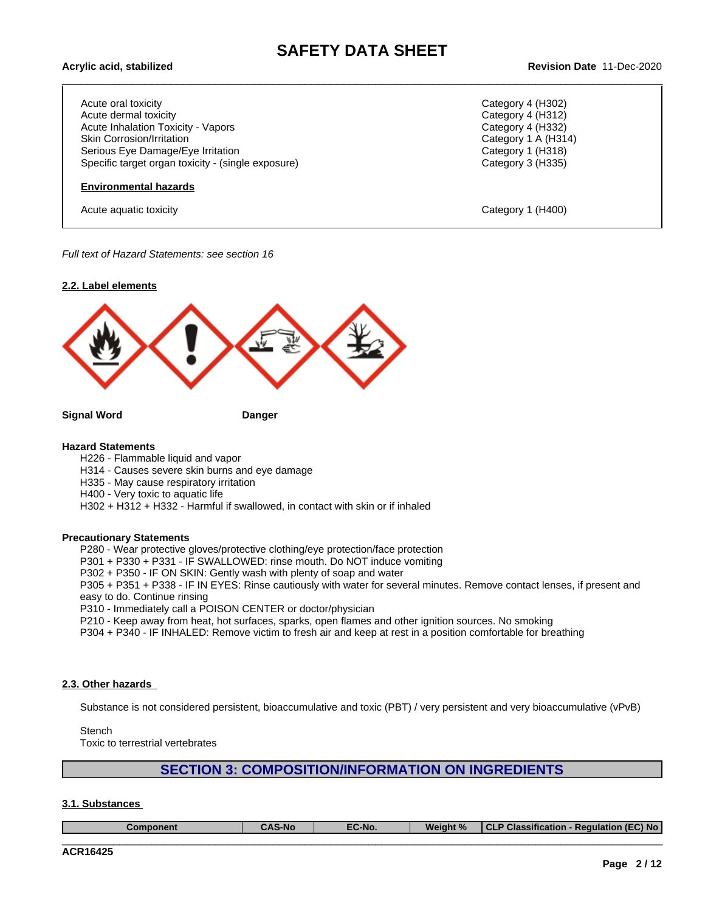Acute oral toxicity Category 4 (H302) Acute dermal toxicity **Category 4 (H312)** Acute Inhalation Toxicity - Vapors Category 4 (H332) Skin Corrosion/Irritation Category 1 A (H314) Serious Eye Damage/Eye Irritation **Category 1 (H318)** Category 1 (H318) Specific target organ toxicity - (single exposure) Category 3 (H335)

## **Environmental hazards**

Acute aquatic toxicity **Category 1** (H400)

\_\_\_\_\_\_\_\_\_\_\_\_\_\_\_\_\_\_\_\_\_\_\_\_\_\_\_\_\_\_\_\_\_\_\_\_\_\_\_\_\_\_\_\_\_\_\_\_\_\_\_\_\_\_\_\_\_\_\_\_\_\_\_\_\_\_\_\_\_\_\_\_\_\_\_\_\_\_\_\_\_\_\_\_\_\_\_\_\_\_\_\_\_\_ **Acrylic acid, stabilized Revision Date** 11-Dec-2020

*Full text of Hazard Statements: see section 16*



**Signal Word Danger**

### **Hazard Statements**

- H226 Flammable liquid and vapor
- H314 Causes severe skin burns and eye damage
- H335 May cause respiratory irritation
- H400 Very toxic to aquatic life
- H302 + H312 + H332 Harmful if swallowed, in contact with skin or if inhaled

## **Precautionary Statements**

P280 - Wear protective gloves/protective clothing/eye protection/face protection

P301 + P330 + P331 - IF SWALLOWED: rinse mouth. Do NOT induce vomiting

P302 + P350 - IF ON SKIN: Gently wash with plenty of soap and water

P305 + P351 + P338 - IF IN EYES: Rinse cautiously with water for several minutes. Remove contact lenses, if present and easy to do. Continue rinsing

P310 - Immediately call a POISON CENTER or doctor/physician

P210 - Keep away from heat, hot surfaces, sparks, open flames and other ignition sources. No smoking

P304 + P340 - IF INHALED: Remove victim to fresh air and keep atrest in a position comfortable for breathing

## **2.3. Other hazards**

Substance is not considered persistent, bioaccumulative and toxic (PBT) / very persistent and very bioaccumulative (vPvB)

**Stench** 

Toxic to terrestrial vertebrates

## **SECTION 3: COMPOSITION/INFORMATION ON INGREDIENTS**

**3.1. Substances**

| Component | CAC<br>.<br><b>CAS-No</b> | $-C-No.$ | Weight % | $T - T$<br>$\overline{\phantom{a}}$<br>EC) No<br>⊦ Requlation (E<br>Classification<br>$\sim$ |
|-----------|---------------------------|----------|----------|----------------------------------------------------------------------------------------------|
|           |                           |          |          |                                                                                              |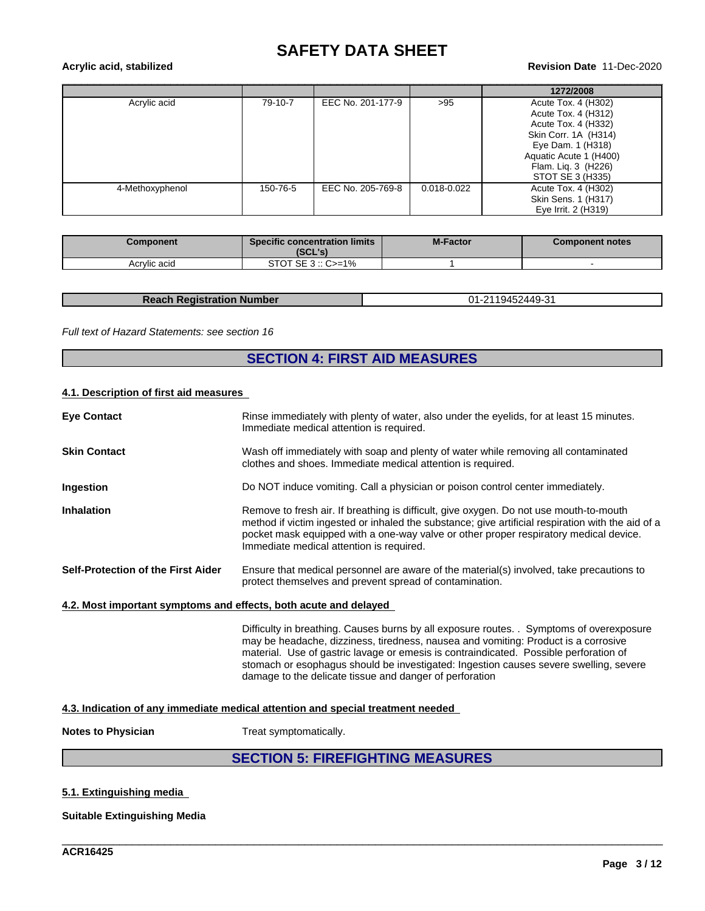# **SAFETY DATA SHEET**<br>Revision Date 11-Dec-2020

# \_\_\_\_\_\_\_\_\_\_\_\_\_\_\_\_\_\_\_\_\_\_\_\_\_\_\_\_\_\_\_\_\_\_\_\_\_\_\_\_\_\_\_\_\_\_\_\_\_\_\_\_\_\_\_\_\_\_\_\_\_\_\_\_\_\_\_\_\_\_\_\_\_\_\_\_\_\_\_\_\_\_\_\_\_\_\_\_\_\_\_\_\_\_ **Acrylic acid, stabilized Revision Date** 11-Dec-2020

|                 |          |                   |             | 1272/2008              |
|-----------------|----------|-------------------|-------------|------------------------|
| Acrylic acid    | 79-10-7  | EEC No. 201-177-9 | >95         | Acute Tox. 4 (H302)    |
|                 |          |                   |             | Acute Tox. 4 (H312)    |
|                 |          |                   |             | Acute Tox. 4 (H332)    |
|                 |          |                   |             | Skin Corr. 1A (H314)   |
|                 |          |                   |             | Eye Dam. 1 (H318)      |
|                 |          |                   |             | Aquatic Acute 1 (H400) |
|                 |          |                   |             | Flam. Lig. 3 (H226)    |
|                 |          |                   |             | STOT SE 3 (H335)       |
| 4-Methoxyphenol | 150-76-5 | EEC No. 205-769-8 | 0.018-0.022 | Acute Tox. 4 (H302)    |
|                 |          |                   |             | Skin Sens. 1 (H317)    |
|                 |          |                   |             | Eye Irrit. 2 (H319)    |

| Component    | <b>Specific concentration limits</b><br>(SCL's) | <b>M-Factor</b> | <b>Component notes</b> |
|--------------|-------------------------------------------------|-----------------|------------------------|
| Acrylic acid | STOT SE $3::C>=1\%$                             |                 |                        |

| <b>Reach Registration Number</b> | -2119452449-31<br><b>n</b> 1 |
|----------------------------------|------------------------------|
|                                  |                              |

### *Full text of Hazard Statements: see section 16*

## **SECTION 4: FIRST AID MEASURES**

## **4.1. Description of first aid measures**

|                                                                  | <b>SECTION 5: FIREFIGHTING MEASURES</b>                                                                                                                                                                                                                                                                                                                                                                                     |
|------------------------------------------------------------------|-----------------------------------------------------------------------------------------------------------------------------------------------------------------------------------------------------------------------------------------------------------------------------------------------------------------------------------------------------------------------------------------------------------------------------|
| <b>Notes to Physician</b>                                        | Treat symptomatically.                                                                                                                                                                                                                                                                                                                                                                                                      |
|                                                                  | 4.3. Indication of any immediate medical attention and special treatment needed                                                                                                                                                                                                                                                                                                                                             |
|                                                                  | Difficulty in breathing. Causes burns by all exposure routes. . Symptoms of overexposure<br>may be headache, dizziness, tiredness, nausea and vomiting: Product is a corrosive<br>material. Use of gastric lavage or emesis is contraindicated. Possible perforation of<br>stomach or esophagus should be investigated: Ingestion causes severe swelling, severe<br>damage to the delicate tissue and danger of perforation |
| 4.2. Most important symptoms and effects, both acute and delayed |                                                                                                                                                                                                                                                                                                                                                                                                                             |
| <b>Self-Protection of the First Aider</b>                        | Ensure that medical personnel are aware of the material(s) involved, take precautions to<br>protect themselves and prevent spread of contamination.                                                                                                                                                                                                                                                                         |
| <b>Inhalation</b>                                                | Remove to fresh air. If breathing is difficult, give oxygen. Do not use mouth-to-mouth<br>method if victim ingested or inhaled the substance; give artificial respiration with the aid of a<br>pocket mask equipped with a one-way valve or other proper respiratory medical device.<br>Immediate medical attention is required.                                                                                            |
| Ingestion                                                        | Do NOT induce vomiting. Call a physician or poison control center immediately.                                                                                                                                                                                                                                                                                                                                              |
| <b>Skin Contact</b>                                              | Wash off immediately with soap and plenty of water while removing all contaminated<br>clothes and shoes. Immediate medical attention is required.                                                                                                                                                                                                                                                                           |
| <b>Eve Contact</b>                                               | Rinse immediately with plenty of water, also under the eyelids, for at least 15 minutes.<br>Immediate medical attention is required.                                                                                                                                                                                                                                                                                        |

\_\_\_\_\_\_\_\_\_\_\_\_\_\_\_\_\_\_\_\_\_\_\_\_\_\_\_\_\_\_\_\_\_\_\_\_\_\_\_\_\_\_\_\_\_\_\_\_\_\_\_\_\_\_\_\_\_\_\_\_\_\_\_\_\_\_\_\_\_\_\_\_\_\_\_\_\_\_\_\_\_\_\_\_\_\_\_\_\_\_\_\_\_\_

## **5.1. Extinguishing media**

## **Suitable Extinguishing Media**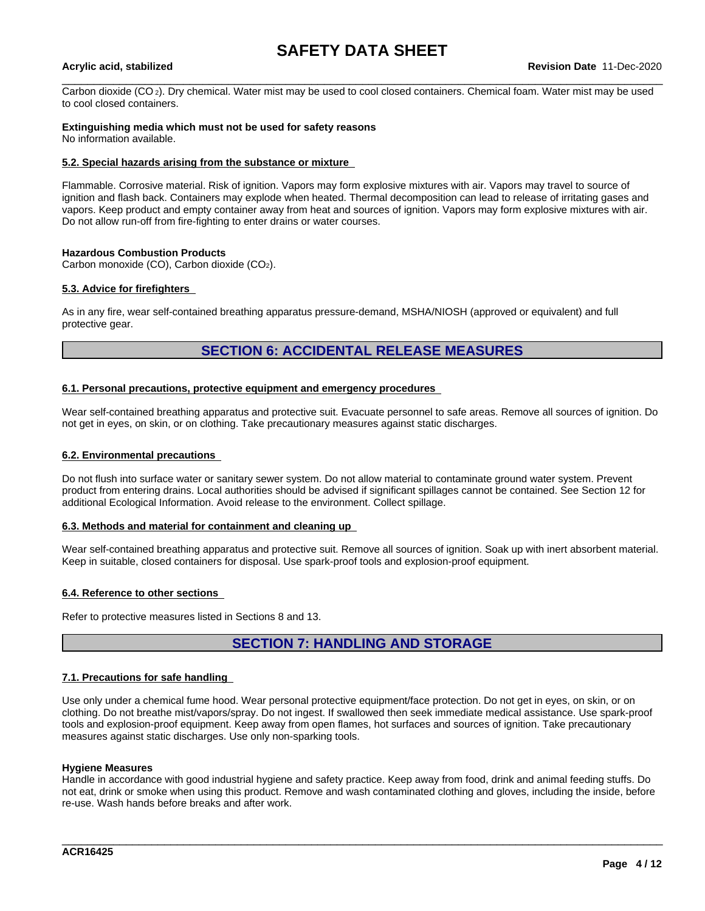Carbon dioxide (CO 2). Dry chemical. Water mist may be used to cool closed containers. Chemical foam. Water mist may be used to cool closed containers.

## **Extinguishing media which must not be used for safety reasons**

No information available.

## **5.2. Special hazards arising from the substance or mixture**

Flammable. Corrosive material. Risk of ignition. Vapors may form explosive mixtures with air. Vapors may travel to source of ignition and flash back. Containers may explode when heated. Thermal decomposition can lead to release of irritating gases and vapors. Keep product and empty container away from heat and sources of ignition. Vapors may form explosive mixtures with air. Do not allow run-off from fire-fighting to enter drains or water courses.

## **Hazardous Combustion Products**

Carbon monoxide (CO), Carbon dioxide (CO2).

## **5.3. Advice for firefighters**

As in any fire, wear self-contained breathing apparatus pressure-demand, MSHA/NIOSH (approved or equivalent) and full protective gear.

## **SECTION 6: ACCIDENTAL RELEASE MEASURES**

## **6.1. Personal precautions, protective equipment and emergency procedures**

Wear self-contained breathing apparatus and protective suit. Evacuate personnel to safe areas. Remove all sources of ignition. Do not get in eyes, on skin, or on clothing. Take precautionary measures against static discharges.

### **6.2. Environmental precautions**

Do not flush into surface water or sanitary sewer system. Do not allow material to contaminate ground water system. Prevent product from entering drains. Local authorities should be advised if significant spillages cannot be contained. See Section 12 for additional Ecological Information. Avoid release to the environment. Collect spillage.

## **6.3. Methods and material for containment and cleaning up**

Wear self-contained breathing apparatus and protective suit. Remove all sources of ignition. Soak up with inert absorbent material. Keep in suitable, closed containers for disposal. Use spark-proof tools and explosion-proof equipment.

## **6.4. Reference to other sections**

Refer to protective measures listed in Sections 8 and 13.

## **SECTION 7: HANDLING AND STORAGE**

## **7.1. Precautions for safe handling**

Use only under a chemical fume hood. Wear personal protective equipment/face protection. Do not get in eyes, on skin, or on clothing. Do not breathe mist/vapors/spray. Do not ingest. If swallowed then seek immediate medical assistance. Use spark-proof tools and explosion-proof equipment. Keep away from open flames, hot surfaces and sources of ignition. Take precautionary measures against static discharges. Use only non-sparking tools.

## **Hygiene Measures**

Handle in accordance with good industrial hygiene and safety practice. Keep away from food, drink and animal feeding stuffs. Do not eat, drink or smoke when using this product. Remove and wash contaminated clothing and gloves, including the inside, before re-use. Wash hands before breaks and after work.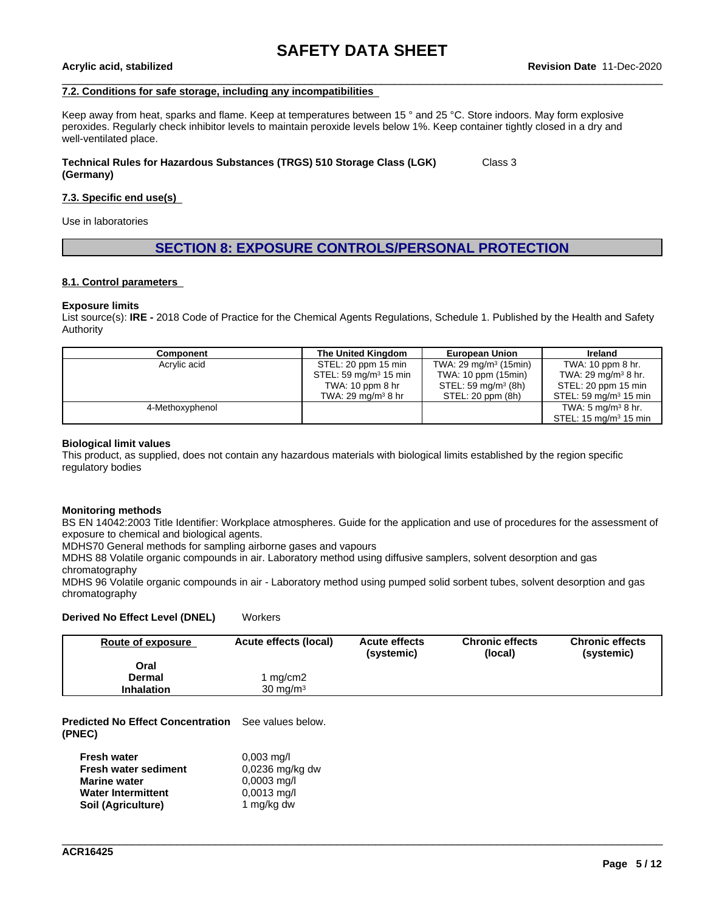## **7.2. Conditions for safe storage, including any incompatibilities**

Keep away from heat, sparks and flame. Keep at temperatures between 15 ° and 25 °C. Store indoors. May form explosive peroxides. Regularly check inhibitor levels to maintain peroxide levels below 1%. Keep container tightly closed in a dry and well-ventilated place.

#### **Technical Rules for Hazardous Substances (TRGS) 510 Storage Class (LGK) (Germany)** Class 3

## **7.3. Specific end use(s)**

Use in laboratories

## **SECTION 8: EXPOSURE CONTROLS/PERSONAL PROTECTION**

#### **8.1. Control parameters**

#### **Exposure limits**

List source(s): **IRE -** 2018 Code of Practice for the Chemical Agents Regulations, Schedule 1. Published by the Health and Safety Authority

| Component       | The United Kingdom                | <b>European Union</b>            | <b>Ireland</b>                   |
|-----------------|-----------------------------------|----------------------------------|----------------------------------|
| Acrylic acid    | STEL: 20 ppm 15 min               | TWA: $29 \text{ mg/m}^3$ (15min) | TWA: 10 ppm 8 hr.                |
|                 | STEL: 59 mg/m <sup>3</sup> 15 min | TWA: 10 ppm (15min)              | TWA: 29 mg/m <sup>3</sup> 8 hr.  |
|                 | TWA: $10$ ppm $8$ hr              | STEL: 59 mg/m <sup>3</sup> (8h)  | STEL: 20 ppm 15 min              |
|                 | TWA: 29 mg/m $3$ 8 hr             | STEL: 20 ppm (8h)                | STEL: 59 mg/m $3$ 15 min         |
| 4-Methoxyphenol |                                   |                                  | TWA: 5 mg/m <sup>3</sup> 8 hr.   |
|                 |                                   |                                  | STEL: $15 \text{ mg/m}^3$ 15 min |

#### **Biological limit values**

This product, as supplied, does not contain any hazardous materials with biological limits established by the region specific regulatory bodies

#### **Monitoring methods**

BS EN 14042:2003 Title Identifier: Workplace atmospheres. Guide for the application and use of procedures for the assessment of exposure to chemical and biological agents.

MDHS70 General methods for sampling airborne gases and vapours

MDHS 88 Volatile organic compounds in air. Laboratory method using diffusive samplers, solvent desorption and gas chromatography

MDHS 96 Volatile organic compounds in air - Laboratory method using pumped solid sorbent tubes, solvent desorption and gas chromatography

### **Derived No Effect Level (DNEL)** Workers

| Route of exposure | Acute effects (local) | <b>Acute effects</b><br>(systemic) | <b>Chronic effects</b><br>(local) | <b>Chronic effects</b><br>(systemic) |
|-------------------|-----------------------|------------------------------------|-----------------------------------|--------------------------------------|
| Oral              |                       |                                    |                                   |                                      |
| Dermal            | 1 mg/cm2              |                                    |                                   |                                      |
| <b>Inhalation</b> | $30 \text{ mg/m}^3$   |                                    |                                   |                                      |

\_\_\_\_\_\_\_\_\_\_\_\_\_\_\_\_\_\_\_\_\_\_\_\_\_\_\_\_\_\_\_\_\_\_\_\_\_\_\_\_\_\_\_\_\_\_\_\_\_\_\_\_\_\_\_\_\_\_\_\_\_\_\_\_\_\_\_\_\_\_\_\_\_\_\_\_\_\_\_\_\_\_\_\_\_\_\_\_\_\_\_\_\_\_

**Predicted No Effect Concentration** See values below. **(PNEC)**

| <b>Fresh water</b>          | $0.003 \text{ mq/l}$ |
|-----------------------------|----------------------|
| <b>Fresh water sediment</b> | 0,0236 mg/kg dw      |
| <b>Marine water</b>         | $0,0003$ mg/l        |
| <b>Water Intermittent</b>   | $0,0013$ mg/l        |
| Soil (Agriculture)          | 1 mg/kg dw           |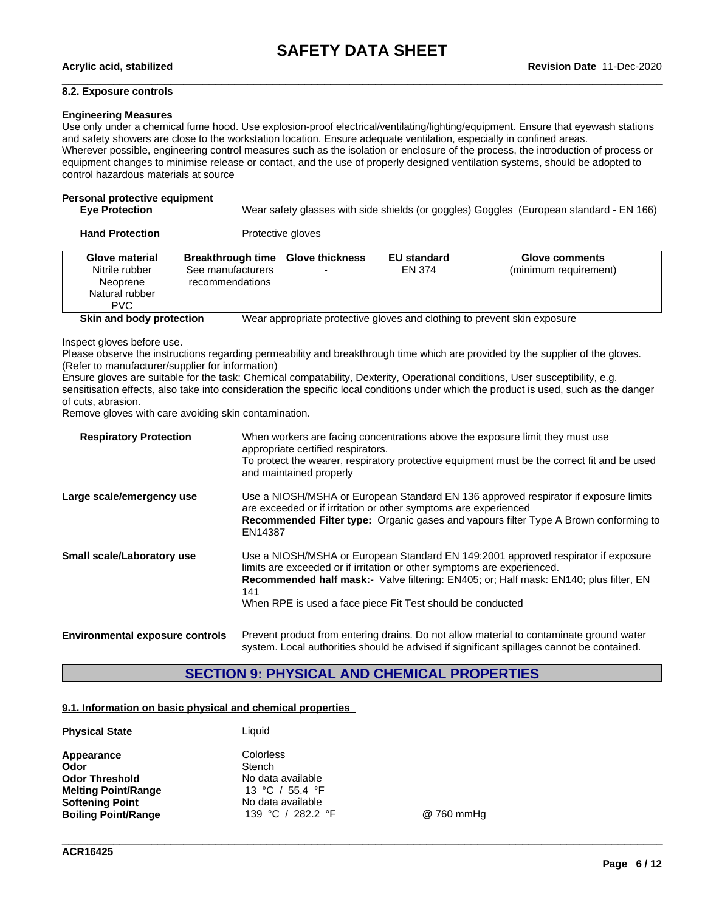## **8.2. Exposure controls**

### **Engineering Measures**

Use only under a chemical fume hood. Use explosion-proof electrical/ventilating/lighting/equipment. Ensure that eyewash stations and safety showers are close to the workstation location. Ensure adequate ventilation, especially in confined areas. Wherever possible, engineering control measures such as the isolation or enclosure of the process, the introduction of process or equipment changes to minimise release or contact, and the use of properly designed ventilation systems, should be adopted to control hazardous materials at source

## **Personal protective equipment**

| <b>Eve Protection</b> | Wear safety glasses with side shields (or goggles) Goggles (European standard - EN 166) |
|-----------------------|-----------------------------------------------------------------------------------------|
|                       |                                                                                         |

| <b>Hand Protection</b> | Protective gloves |  |
|------------------------|-------------------|--|
|------------------------|-------------------|--|

| <b>Glove material</b><br>Nitrile rubber<br>Neoprene<br>Natural rubber<br><b>PVC</b> | <b>Breakthrough time</b><br>See manufacturers<br>recommendations | <b>Glove thickness</b><br>$\overline{\phantom{0}}$ | <b>EU standard</b><br>EN 374 | <b>Glove comments</b><br>(minimum requirement)                           |
|-------------------------------------------------------------------------------------|------------------------------------------------------------------|----------------------------------------------------|------------------------------|--------------------------------------------------------------------------|
| Skin and body protection                                                            |                                                                  |                                                    |                              | Wear appropriate protective gloves and clothing to prevent skin exposure |

Inspect gloves before use.

Please observe the instructions regarding permeability and breakthrough time which are provided by the supplier of the gloves. (Refer to manufacturer/supplier for information)

Ensure gloves are suitable for the task: Chemical compatability, Dexterity, Operational conditions, User susceptibility, e.g. sensitisation effects, also take into consideration the specific local conditions under which the product is used, such as the danger of cuts, abrasion.

Remove gloves with care avoiding skin contamination.

| <b>Respiratory Protection</b>          | When workers are facing concentrations above the exposure limit they must use<br>appropriate certified respirators.<br>To protect the wearer, respiratory protective equipment must be the correct fit and be used<br>and maintained properly                                                                              |
|----------------------------------------|----------------------------------------------------------------------------------------------------------------------------------------------------------------------------------------------------------------------------------------------------------------------------------------------------------------------------|
| Large scale/emergency use              | Use a NIOSH/MSHA or European Standard EN 136 approved respirator if exposure limits<br>are exceeded or if irritation or other symptoms are experienced<br>Recommended Filter type: Organic gases and vapours filter Type A Brown conforming to<br>EN14387                                                                  |
| <b>Small scale/Laboratory use</b>      | Use a NIOSH/MSHA or European Standard EN 149:2001 approved respirator if exposure<br>limits are exceeded or if irritation or other symptoms are experienced.<br>Recommended half mask:- Valve filtering: EN405; or; Half mask: EN140; plus filter, EN<br>141<br>When RPE is used a face piece Fit Test should be conducted |
| <b>Environmental exposure controls</b> | Prevent product from entering drains. Do not allow material to contaminate ground water                                                                                                                                                                                                                                    |

system. Local authorities should be advised if significant spillages cannot be contained.

## **SECTION 9: PHYSICAL AND CHEMICAL PROPERTIES**

## **9.1. Information on basic physical and chemical properties**

| <b>Physical State</b>      | Liquid            |      |
|----------------------------|-------------------|------|
| Appearance                 | Colorless         |      |
| Odor                       | Stench            |      |
| <b>Odor Threshold</b>      | No data available |      |
| <b>Melting Point/Range</b> | 13 °C / 55.4 °F   |      |
| <b>Softening Point</b>     | No data available |      |
| <b>Boiling Point/Range</b> | 139 °C / 282.2 °F | @ 76 |

 $@ 760$  mmHg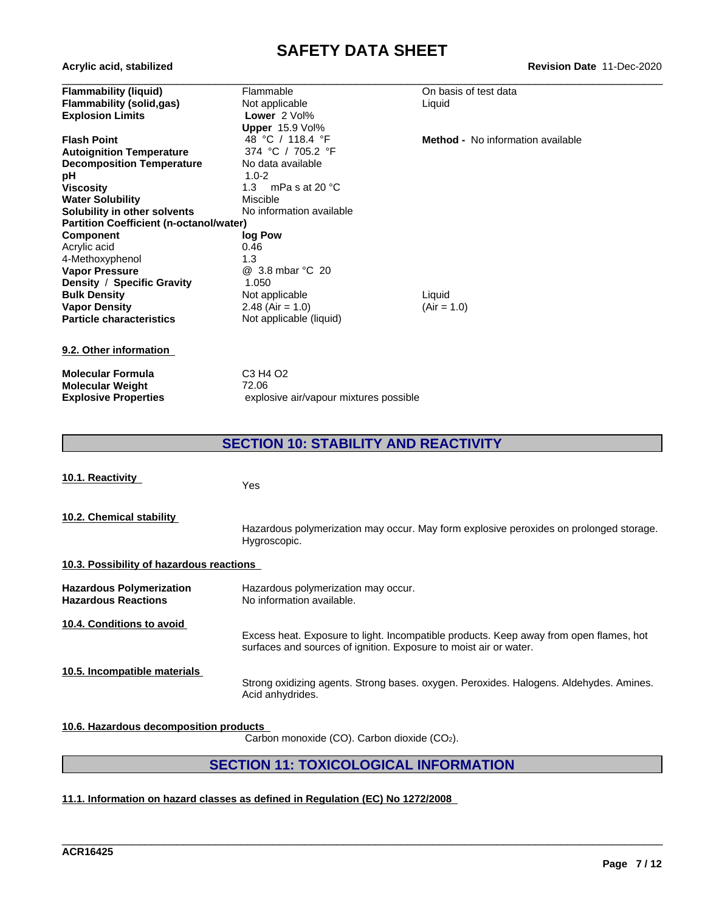# **SAFETY DATA SHEET**<br>Revision Date 11-Dec-2020

| Acrylic acid, stabilized                       |                                        | <b>Revision Date 11-Dec-2020</b>         |
|------------------------------------------------|----------------------------------------|------------------------------------------|
| <b>Flammability (liquid)</b>                   | Flammable                              | On basis of test data                    |
| <b>Flammability (solid,gas)</b>                | Not applicable                         | Liquid                                   |
| <b>Explosion Limits</b>                        | Lower 2 Vol%                           |                                          |
|                                                | Upper 15.9 Vol%                        |                                          |
| <b>Flash Point</b>                             | 48 °C / 118.4 °F                       | <b>Method -</b> No information available |
| <b>Autoignition Temperature</b>                | 374 °C / 705.2 °F                      |                                          |
| <b>Decomposition Temperature</b>               | No data available                      |                                          |
| рH                                             | $1.0 - 2$                              |                                          |
| <b>Viscosity</b>                               | 1.3<br>mPa s at 20 $^{\circ}$ C        |                                          |
| <b>Water Solubility</b>                        | <b>Miscible</b>                        |                                          |
| Solubility in other solvents                   | No information available               |                                          |
| <b>Partition Coefficient (n-octanol/water)</b> |                                        |                                          |
| <b>Component</b>                               | log Pow                                |                                          |
| Acrylic acid                                   | 0.46                                   |                                          |
| 4-Methoxyphenol                                | 1.3                                    |                                          |
| <b>Vapor Pressure</b>                          | @ 3.8 mbar °C 20                       |                                          |
| Density / Specific Gravity                     | 1.050                                  |                                          |
| <b>Bulk Density</b>                            | Not applicable                         | Liquid                                   |
| <b>Vapor Density</b>                           | $2.48$ (Air = 1.0)                     | $(Air = 1.0)$                            |
| <b>Particle characteristics</b>                | Not applicable (liquid)                |                                          |
| 9.2. Other information                         |                                        |                                          |
| <b>Molecular Formula</b>                       | C3 H4 O2                               |                                          |
| <b>Molecular Weight</b>                        | 72.06                                  |                                          |
| <b>Explosive Properties</b>                    | explosive air/vapour mixtures possible |                                          |
|                                                |                                        |                                          |

## **SECTION 10: STABILITY AND REACTIVITY**

| 10.1. Reactivity                                              | <b>Yes</b>                                                                                                                                                  |
|---------------------------------------------------------------|-------------------------------------------------------------------------------------------------------------------------------------------------------------|
| 10.2. Chemical stability                                      | Hazardous polymerization may occur. May form explosive peroxides on prolonged storage.<br>Hygroscopic.                                                      |
| 10.3. Possibility of hazardous reactions                      |                                                                                                                                                             |
| <b>Hazardous Polymerization</b><br><b>Hazardous Reactions</b> | Hazardous polymerization may occur.<br>No information available.                                                                                            |
| 10.4. Conditions to avoid                                     | Excess heat. Exposure to light. Incompatible products. Keep away from open flames, hot<br>surfaces and sources of ignition. Exposure to moist air or water. |
| 10.5. Incompatible materials                                  | Strong oxidizing agents. Strong bases. oxygen. Peroxides. Halogens. Aldehydes. Amines.<br>Acid anhydrides.                                                  |
| 10.6. Hazardous decomposition products                        | Carbon monoxide (CO). Carbon dioxide (CO2).                                                                                                                 |

## **SECTION 11: TOXICOLOGICAL INFORMATION**

\_\_\_\_\_\_\_\_\_\_\_\_\_\_\_\_\_\_\_\_\_\_\_\_\_\_\_\_\_\_\_\_\_\_\_\_\_\_\_\_\_\_\_\_\_\_\_\_\_\_\_\_\_\_\_\_\_\_\_\_\_\_\_\_\_\_\_\_\_\_\_\_\_\_\_\_\_\_\_\_\_\_\_\_\_\_\_\_\_\_\_\_\_\_

## **11.1. Information on hazard classes as defined in Regulation (EC) No 1272/2008**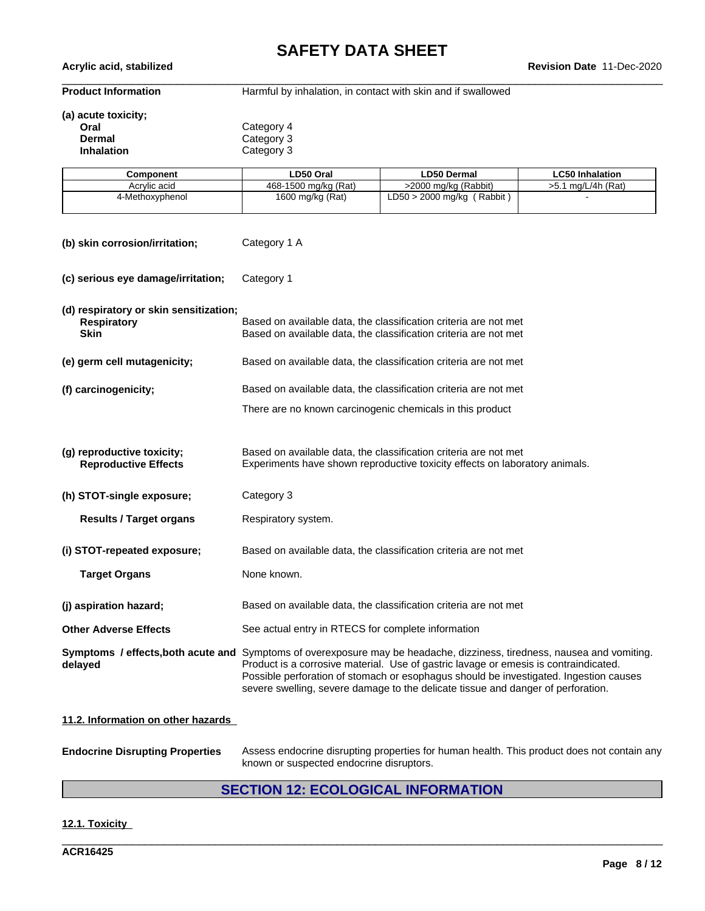\_\_\_\_\_\_\_\_\_\_\_\_\_\_\_\_\_\_\_\_\_\_\_\_\_\_\_\_\_\_\_\_\_\_\_\_\_\_\_\_\_\_\_\_\_\_\_\_\_\_\_\_\_\_\_\_\_\_\_\_\_\_\_\_\_\_\_\_\_\_\_\_\_\_\_\_\_\_\_\_\_\_\_\_\_\_\_\_\_\_\_\_\_\_ **Acrylic acid, stabilized Revision Date** 11-Dec-2020

**Product Information** Harmful by inhalation, in contact with skin and if swallowed

## **(a) acute toxicity;**

| Oral              | Category 4 |  |
|-------------------|------------|--|
| Dermal            | Category 3 |  |
| <b>Inhalation</b> | Category 3 |  |

| Component       | LD50 Oral            | <b>LD50 Dermal</b>               | <b>LC50 Inhalation</b>   |
|-----------------|----------------------|----------------------------------|--------------------------|
| Acrylic acid    | 468-1500 mg/kg (Rat) | >2000 mg/kg (Rabbit)             | I mg/L/4h (Rat)<br>ו .כ< |
| 4-Methoxyphenol | 1600 mg/kg (Rat)     | (Rabbit)<br>LD50<br>, 2000 mg/kg |                          |

| (b) skin corrosion/irritation;                                              | Category 1 A                                                                                                                                                                                                                                                                                                                                                                                 |
|-----------------------------------------------------------------------------|----------------------------------------------------------------------------------------------------------------------------------------------------------------------------------------------------------------------------------------------------------------------------------------------------------------------------------------------------------------------------------------------|
| (c) serious eye damage/irritation;                                          | Category 1                                                                                                                                                                                                                                                                                                                                                                                   |
| (d) respiratory or skin sensitization;<br><b>Respiratory</b><br><b>Skin</b> | Based on available data, the classification criteria are not met<br>Based on available data, the classification criteria are not met                                                                                                                                                                                                                                                         |
| (e) germ cell mutagenicity;                                                 | Based on available data, the classification criteria are not met                                                                                                                                                                                                                                                                                                                             |
| (f) carcinogenicity;                                                        | Based on available data, the classification criteria are not met                                                                                                                                                                                                                                                                                                                             |
|                                                                             | There are no known carcinogenic chemicals in this product                                                                                                                                                                                                                                                                                                                                    |
|                                                                             |                                                                                                                                                                                                                                                                                                                                                                                              |
| (g) reproductive toxicity;<br><b>Reproductive Effects</b>                   | Based on available data, the classification criteria are not met<br>Experiments have shown reproductive toxicity effects on laboratory animals.                                                                                                                                                                                                                                              |
| (h) STOT-single exposure;                                                   | Category 3                                                                                                                                                                                                                                                                                                                                                                                   |
| <b>Results / Target organs</b>                                              | Respiratory system.                                                                                                                                                                                                                                                                                                                                                                          |
| (i) STOT-repeated exposure;                                                 | Based on available data, the classification criteria are not met                                                                                                                                                                                                                                                                                                                             |
| <b>Target Organs</b>                                                        | None known.                                                                                                                                                                                                                                                                                                                                                                                  |
| (j) aspiration hazard;                                                      | Based on available data, the classification criteria are not met                                                                                                                                                                                                                                                                                                                             |
| <b>Other Adverse Effects</b>                                                | See actual entry in RTECS for complete information                                                                                                                                                                                                                                                                                                                                           |
| delayed                                                                     | Symptoms / effects, both acute and Symptoms of overexposure may be headache, dizziness, tiredness, nausea and vomiting.<br>Product is a corrosive material. Use of gastric lavage or emesis is contraindicated.<br>Possible perforation of stomach or esophagus should be investigated. Ingestion causes<br>severe swelling, severe damage to the delicate tissue and danger of perforation. |
| 11.2. Information on other hazards                                          |                                                                                                                                                                                                                                                                                                                                                                                              |

**Endocrine Disrupting Properties** Assess endocrine disrupting properties for human health. This product does not contain any known or suspected endocrine disruptors.

## **SECTION 12: ECOLOGICAL INFORMATION**

\_\_\_\_\_\_\_\_\_\_\_\_\_\_\_\_\_\_\_\_\_\_\_\_\_\_\_\_\_\_\_\_\_\_\_\_\_\_\_\_\_\_\_\_\_\_\_\_\_\_\_\_\_\_\_\_\_\_\_\_\_\_\_\_\_\_\_\_\_\_\_\_\_\_\_\_\_\_\_\_\_\_\_\_\_\_\_\_\_\_\_\_\_\_

## **12.1. Toxicity**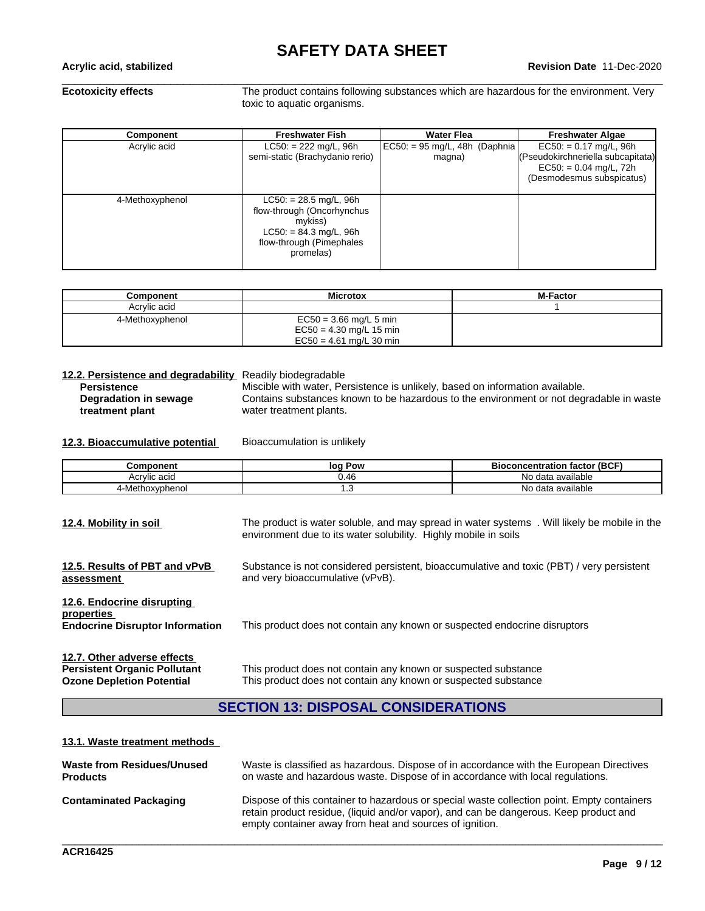**Ecotoxicity effects** The product contains following substances which are hazardous for the environment. Very toxic to aquatic organisms.

| Component       | <b>Freshwater Fish</b>                                                                                                                 | <b>Water Flea</b>                          | <b>Freshwater Algae</b>                                                                                                |
|-----------------|----------------------------------------------------------------------------------------------------------------------------------------|--------------------------------------------|------------------------------------------------------------------------------------------------------------------------|
| Acrylic acid    | $LC50: = 222$ mg/L, 96h<br>semi-static (Brachydanio rerio)                                                                             | $EC50: = 95$ mg/L, 48h (Daphnia)<br>magna) | $EC50: = 0.17$ mg/L, 96h<br>(Pseudokirchneriella subcapitata)<br>$EC50: = 0.04$ mg/L, 72h<br>(Desmodesmus subspicatus) |
| 4-Methoxyphenol | $LC50: = 28.5$ mg/L, 96h<br>flow-through (Oncorhynchus<br>mvkiss)<br>$LC50: = 84.3$ mg/L, 96h<br>flow-through (Pimephales<br>promelas) |                                            |                                                                                                                        |

| Component       | <b>Microtox</b>                                                                    | <b>M-Factor</b> |
|-----------------|------------------------------------------------------------------------------------|-----------------|
| Acrylic acid    |                                                                                    |                 |
| 4-Methoxyphenol | $EC50 = 3.66$ mg/L 5 min<br>$EC50 = 4.30$ mg/L 15 min<br>$EC50 = 4.61$ mg/L 30 min |                 |

**12.2. Persistence and degradability** Readily biodegradable Miscible with water, Persistence is unlikely, based on information available. **Degradation in sewage treatment plant** Contains substances known to be hazardous to the environment or not degradable in waste water treatment plants.

### **12.3. Bioaccumulative potential** Bioaccumulation is unlikely

| Component                | Pow<br>loc | I factor (BCF)<br><b>Bioconcentration</b> |
|--------------------------|------------|-------------------------------------------|
| Acrylic acid             | 0.46       | N٥<br>data available                      |
| hoxvphenoi<br>-Meth<br>" | ں،         | a available<br>No data                    |

| The product is water soluble, and may spread in water systems.<br>. Will likely be mobile in the<br>environment due to its water solubility. Highly mobile in soils |
|---------------------------------------------------------------------------------------------------------------------------------------------------------------------|
| Substance is not considered persistent, bioaccumulative and toxic (PBT) / very persistent<br>and very bioaccumulative (vPvB).                                       |
| This product does not contain any known or suspected endocrine disruptors                                                                                           |
| This product does not contain any known or suspected substance<br>This product does not contain any known or suspected substance                                    |
|                                                                                                                                                                     |

## **SECTION 13: DISPOSAL CONSIDERATIONS**

### **13.1. Waste treatment methods**

| Waste from Residues/Unused    | Waste is classified as hazardous. Dispose of in accordance with the European Directives                                                                                                                                                        |
|-------------------------------|------------------------------------------------------------------------------------------------------------------------------------------------------------------------------------------------------------------------------------------------|
| <b>Products</b>               | on waste and hazardous waste. Dispose of in accordance with local regulations.                                                                                                                                                                 |
| <b>Contaminated Packaging</b> | Dispose of this container to hazardous or special waste collection point. Empty containers<br>retain product residue, (liquid and/or vapor), and can be dangerous. Keep product and<br>empty container away from heat and sources of ignition. |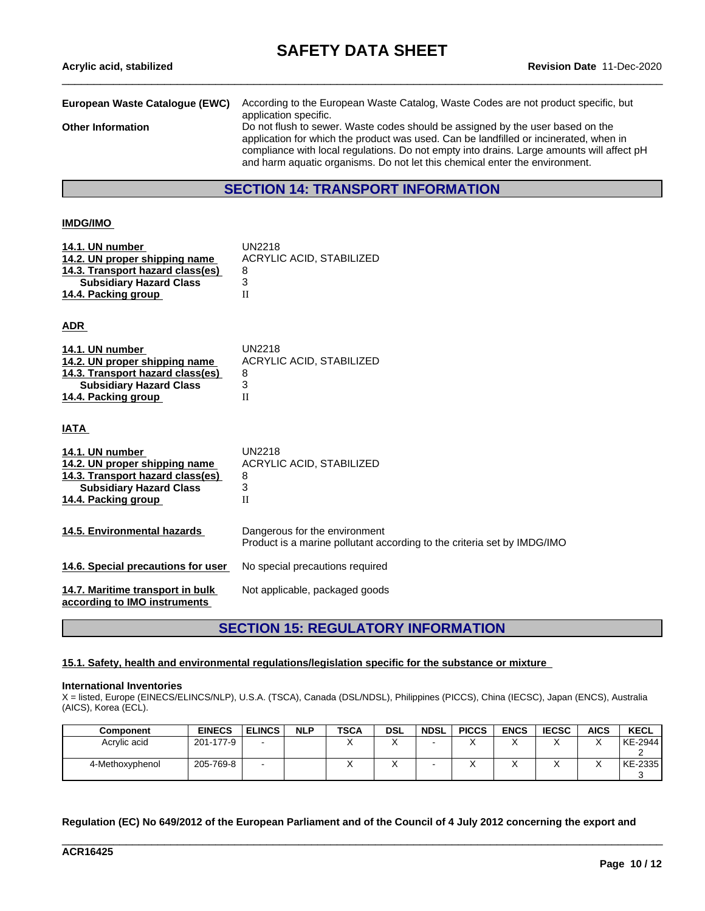| <b>Revision Date 11-Dec-2020</b>                                                                                                                                                                                                                                                                                                                    |
|-----------------------------------------------------------------------------------------------------------------------------------------------------------------------------------------------------------------------------------------------------------------------------------------------------------------------------------------------------|
| According to the European Waste Catalog, Waste Codes are not product specific, but<br>application specific.                                                                                                                                                                                                                                         |
| Do not flush to sewer. Waste codes should be assigned by the user based on the<br>application for which the product was used. Can be landfilled or incinerated, when in<br>compliance with local regulations. Do not empty into drains. Large amounts will affect pH<br>and harm aquatic organisms. Do not let this chemical enter the environment. |
| <b>SECTION 14: TRANSPORT INFORMATION</b>                                                                                                                                                                                                                                                                                                            |
| European Waste Catalogue (EWC)                                                                                                                                                                                                                                                                                                                      |

### **IMDG/IMO**

| 14.1. UN number                  | <b>UN2218</b>                 |
|----------------------------------|-------------------------------|
| 14.2. UN proper shipping name    | ACRYLIC ACID, STABILIZED      |
| 14.3. Transport hazard class(es) | 8                             |
| <b>Subsidiary Hazard Class</b>   | 3                             |
| 14.4. Packing group              | H                             |
| ADR_                             |                               |
| 14.1. UN number                  | <b>UN2218</b>                 |
| 14.2. UN proper shipping name    | ACRYLIC ACID, STABILIZED      |
| 14.3. Transport hazard class(es) | 8                             |
| <b>Subsidiary Hazard Class</b>   | 3                             |
| 14.4. Packing group              | П                             |
| <u>IATA</u>                      |                               |
| 14.1. UN number                  | <b>UN2218</b>                 |
| 14.2. UN proper shipping name    | ACRYLIC ACID, STABILIZED      |
| 14.3. Transport hazard class(es) | 8                             |
| <b>Subsidiary Hazard Class</b>   | 3                             |
| 14.4. Packing group              | П                             |
| 14.5. Environmental hazards      | Dangerous for the environment |

Product is a marine pollutant according to the criteria set by IMDG/IMO

**14.6. Special precautions for user** No special precautions required

**14.7. Maritime transport in bulk** Not applicable, packaged goods

**according to IMO instruments**

## **SECTION 15: REGULATORY INFORMATION**

#### **15.1. Safety, health and environmental regulations/legislation specific for the substance or mixture**

#### **International Inventories**

X = listed, Europe (EINECS/ELINCS/NLP), U.S.A. (TSCA), Canada (DSL/NDSL), Philippines (PICCS), China (IECSC), Japan (ENCS), Australia (AICS), Korea (ECL).

| Component       | <b>EINECS</b> | <b>ELINCS</b> | <b>NLP</b> | <b>TSCA</b> | <b>DSL</b> | <b>NDSL</b> | <b>PICCS</b> | <b>ENCS</b> | <b>IECSC</b> | <b>AICS</b> | <b>KECL</b> |
|-----------------|---------------|---------------|------------|-------------|------------|-------------|--------------|-------------|--------------|-------------|-------------|
| Acrylic acid    | 201-177-9     | -             |            |             |            |             | , ,          | $\lambda$   | ↗            |             | KE-2944     |
|                 |               |               |            |             |            |             |              |             |              |             | -           |
| 4-Methoxyphenol | 205-769-8     | $\sim$        |            |             |            |             | , ,          | ↗           |              |             | KE-2335     |
|                 |               |               |            |             |            |             |              |             |              |             |             |

Regulation (EC) No 649/2012 of the European Parliament and of the Council of 4 July 2012 concerning the export and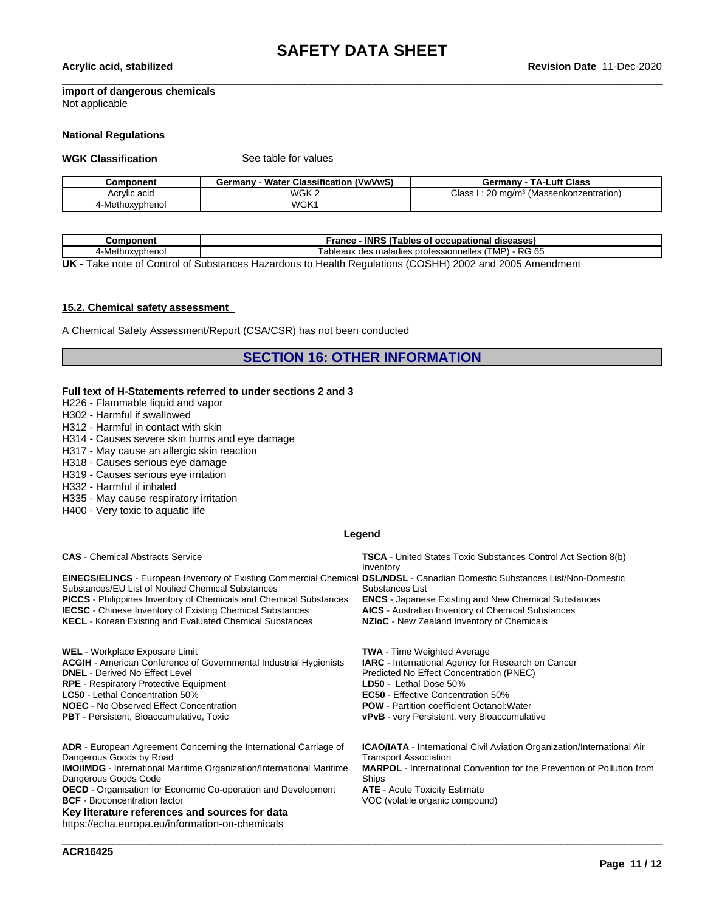## **import of dangerous chemicals**

Not applicable

#### **National Regulations**

**WGK Classification** See table for values

| Component          | <b>Water Classification</b><br><b>NwVwS</b><br>ermanvث | <b>Luft Class</b><br>T A -I<br>Germany         |
|--------------------|--------------------------------------------------------|------------------------------------------------|
| Acrylic acid       | WGK 2                                                  | Class<br>' (Massenkonzentration)<br>ma/m<br>∠∪ |
| hoxvpheno<br>4-Met | WGK <sup>-</sup>                                       |                                                |

| Component      | - INRS (Tables of occupational diseases)<br>France                                                                                                                                          |
|----------------|---------------------------------------------------------------------------------------------------------------------------------------------------------------------------------------------|
| -Methoxyphenol | - RG 65<br>.TMP`<br>`ableaux<br>x des maladies professionnelles /                                                                                                                           |
| $\blacksquare$ | $T_{\text{eff}}$ and of $\bigcap_{i=1}^n A_i$ is the second of the second of the second $\bigcap_{i=1}^n A_i$ and $\bigcap_{i=1}^n A_i$ and $\bigcap_{i=1}^n A_i$ and $\bigcap_{i=1}^n A_i$ |

**UK** - Take note of Control of Substances Hazardous to Health Regulations (COSHH) 2002 and 2005 Amendment

### **15.2. Chemical safety assessment**

A Chemical Safety Assessment/Report (CSA/CSR) has not been conducted

**SECTION 16: OTHER INFORMATION**

#### **Full text of H-Statements referred to undersections 2 and 3**

- H226 Flammable liquid and vapor
- H302 Harmful if swallowed
- H312 Harmful in contact with skin
- H314 Causes severe skin burns and eye damage
- H317 May cause an allergic skin reaction
- H318 Causes serious eye damage
- H319 Causes serious eye irritation
- H332 Harmful if inhaled
- H335 May cause respiratory irritation
- H400 Very toxic to aquatic life

#### **Legend**

**EINECS/ELINCS** - European Inventory of Existing Commercial Chemical **DSL/NDSL** - Canadian Domestic Substances List/Non-Domestic Substances/EU List of Notified Chemical Substances<br> **PICCS** - Philippines Inventory of Chemicals and Chemical Substances<br> **ENCS** - Japanese Existing and New Chemical Substances **PICCS** - Philippines Inventory of Chemicals and Chemical Substances **IECSC** - Chinese Inventory of Existing Chemical Substances **AICS** - Australian Inventory of Chemical Substances **KECL** - Korean Existing and Evaluated Chemical Substances **NZIoC** - New Zealand Inventory of Chemicals

WEL - Workplace Exposure Limit<br>**ACGIH** - American Conference of Governmental Industrial Hygienists **IARC** - International Agency for Research on Cancer **ACGIH** - American Conference of Governmental Industrial Hygienists

**RPE** - Respiratory Protective Equipment

- 
- 

**ADR** - European Agreement Concerning the International Carriage of Dangerous Goods by Road **IMO/IMDG** - International Maritime Organization/International Maritime

Dangerous Goods Code **OECD** - Organisation for Economic Co-operation and Development **BCF** - Bioconcentration factor **VOC** (volatile organic compound)

**Key literature references and sources for data**

https://echa.europa.eu/information-on-chemicals

**CAS** - Chemical Abstracts Service **TSCA** - United States Toxic Substances Control Act Section 8(b) Inventory

Substances List

**DNEL** - Derived No Effect Level Predicted No Effect Concentration (PNEC) **LC50** - Lethal Concentration 50% **EC50** - Effective Concentration 50% **NOEC** - No Observed Effect Concentration **POW** - Partition coefficient Octanol:Water **PBT** - Persistent, Bioaccumulative, Toxic **vPvB** - very Persistent, very Bioaccumulative

> **ICAO/IATA** - International Civil Aviation Organization/International Air Transport Association **MARPOL** - International Convention for the Prevention of Pollution from Ships<br>**ATE** - Acute Toxicity Estimate